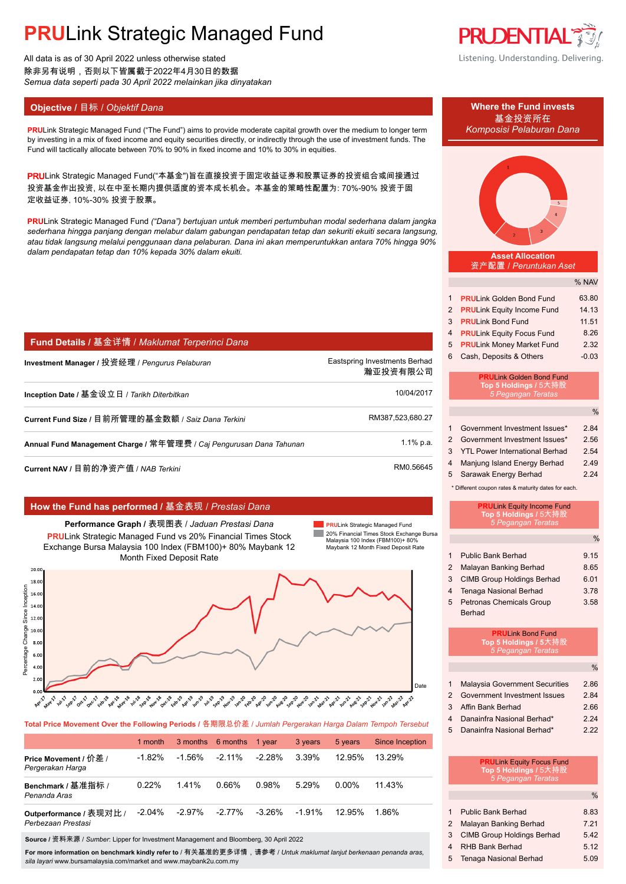All data is as of 30 April 2022 unless otherwise stated 除非另有说明,否则以下皆属截于2022年4月30日的数据 *Semua data seperti pada 30 April 2022 melainkan jika dinyatakan*

### **Objective / 目标 /** *Objektif Dana* **<b>Where the Fund invests Where the Fund invests**

**PRULink Strategic Managed Fund ("The Fund") aims to provide moderate capital growth over the medium to longer term** by investing in a mix of fixed income and equity securities directly, or indirectly through the use of investment funds. The Fund will tactically allocate between 70% to 90% in fixed income and 10% to 30% in equities.

PRULink Strategic Managed Fund("本基金")旨在直接投资于固定收益证券和股票证券的投资组合或间接通过 投资基金作出投资, 以在中至长期内提供适度的资本成长机会。本基金的策略性配置为: 70%-90% 投资于固 定收益证券, 10%-30% 投资于股票。

**PRU**Link Strategic Managed Fund *("Dana") bertujuan untuk memberi pertumbuhan modal sederhana dalam jangka sederhana hingga panjang dengan melabur dalam gabungan pendapatan tetap dan sekuriti ekuiti secara langsung, atau tidak langsung melalui penggunaan dana pelaburan. Dana ini akan memperuntukkan antara 70% hingga 90% dalam pendapatan tetap dan 10% kepada 30% dalam ekuiti.*

|  | Fund Details / 基金详情 / Maklumat Terperinci Dana |  |  |  |  |  |
|--|------------------------------------------------|--|--|--|--|--|
|--|------------------------------------------------|--|--|--|--|--|

| Investment Manager / 投资经理 / <i>Penqurus Pelaburan</i>               | Eastspring Investments Berhad<br>瀚亚投资有限公司 |
|---------------------------------------------------------------------|-------------------------------------------|
| Inception Date / 基金设立日 / Tarikh Diterbitkan                         | 10/04/2017                                |
| Current Fund Size / 目前所管理的基金数额 / Saiz Dana Terkini                  | RM387,523,680.27                          |
| Annual Fund Management Charge / 常年管理费 / Caj Pengurusan Dana Tahunan | $1.1\%$ p.a.                              |
| Current NAV / 目前的净资产值 / NAB Terkini                                 | RM0.56645                                 |

#### **How the Fund has performed /** 基金表现 / *Prestasi Dana*

**Performance Graph /** 表现图表 / *Jaduan Prestasi Dana* **PRU**Link Strategic Managed Fund vs 20% Financial Times Stock Exchange Bursa Malaysia 100 Index (FBM100)+ 80% Maybank 12 Month Fixed Deposit Rate

**PRU**Link Strategic Managed Fund **COL** 20% Financial Times Stock Exchange Bursa Malaysia 100 Index (FBM100)+ 80% Maybank 12 Month Fixed Deposit Rate



**Total Price Movement Over the Following Periods /** 各期限总价差 / *Jumlah Pergerakan Harga Dalam Tempoh Tersebut*

|                                               | 1 month   |        | 3 months 6 months 1 year |        | 3 years   | 5 years   | <b>Since Inception</b> |
|-----------------------------------------------|-----------|--------|--------------------------|--------|-----------|-----------|------------------------|
| Price Movement / 价差 /<br>Pergerakan Harga     | $-1.82%$  | -1.56% | $-2.11\%$                | -2.28% | 3.39%     | $12.95\%$ | 13.29%                 |
| Benchmark / 基准指标 /<br>Penanda Aras            | 0.22%     | 141%   | 0.66%                    | 0.98%  | 5.29%     | 0.00%     | 11.43%                 |
| Outperformance / 表现对比 /<br>Perbezaan Prestasi | $-2.04\%$ | -2.97% | $-2.77\%$                | -3.26% | $-1.91\%$ | $12.95\%$ | 1.86%                  |

**Source /** 资料来源 / *Sumber*: Lipper for Investment Management and Bloomberg, 30 April 2022

**For more information on benchmark kindly refer to** / 有关基准的更多详情,请参考 / *Untuk maklumat lanjut berkenaan penanda aras, sila layari* www.bursamalaysia.com/market and www.maybank2u.com.my



Listening. Understanding. Delivering.



|   | 2 PRULink Equity Income Fund | 14.13   |
|---|------------------------------|---------|
|   | 3 PRULink Bond Fund          | 11.51   |
|   | 4 PRULink Equity Focus Fund  | 8.26    |
|   | 5 PRULink Money Market Fund  | 2.32    |
| 6 | Cash, Deposits & Others      | $-0.03$ |

#### **PRU**Link Golden Bond Fund **Top 5 Holdings /** *5 Pegangan Teratas*

|               |                                       | $\%$ |
|---------------|---------------------------------------|------|
| $\mathbf{1}$  | Government Investment Issues*         | 2.84 |
| $\mathcal{P}$ | Government Investment Issues*         | 2.56 |
| 3             | <b>YTL Power International Berhad</b> | 2.54 |
| 4             | Manjung Island Energy Berhad          | 2.49 |
| 5             | Sarawak Energy Berhad                 | 2 24 |

\* Different coupon rates & maturity dates for each.

|                | <b>PRULink Equity Income Fund</b><br>Top 5 Holdings / 5大持股<br>5 Pegangan Teratas |               |
|----------------|----------------------------------------------------------------------------------|---------------|
|                |                                                                                  | $\%$          |
| 1              | Public Bank Berhad                                                               | 9.15          |
| 2              | Malayan Banking Berhad                                                           | 8.65          |
| 3              | <b>CIMB Group Holdings Berhad</b>                                                | 6.01          |
| $\overline{4}$ | Tenaga Nasional Berhad                                                           | 3.78          |
| 5              | <b>Petronas Chemicals Group</b>                                                  | 3.58          |
|                | <b>Berhad</b>                                                                    |               |
|                | <b>PRULink Bond Fund</b><br>Top 5 Holdings / 5大持股<br>5 Pegangan Teratas          |               |
|                |                                                                                  | $\frac{0}{0}$ |
|                | Malaysia Covernment Coourities                                                   | റ മെ          |

|                | <b>Malaysia Government Securities</b> | 2.86 |
|----------------|---------------------------------------|------|
|                | 2 Government Investment Issues        | 2.84 |
| $\mathbf{3}$   | Affin Bank Berhad                     | 2.66 |
| $\overline{4}$ | Danainfra Nasional Berhad*            | 224  |

5 Danainfra Nasional Berhad\* 2.22

| <b>PRULink Equity Focus Fund</b> |  |
|----------------------------------|--|
| Top 5 Holdings / 5大持股            |  |
| 5 Pegangan Te <u>ratas</u>       |  |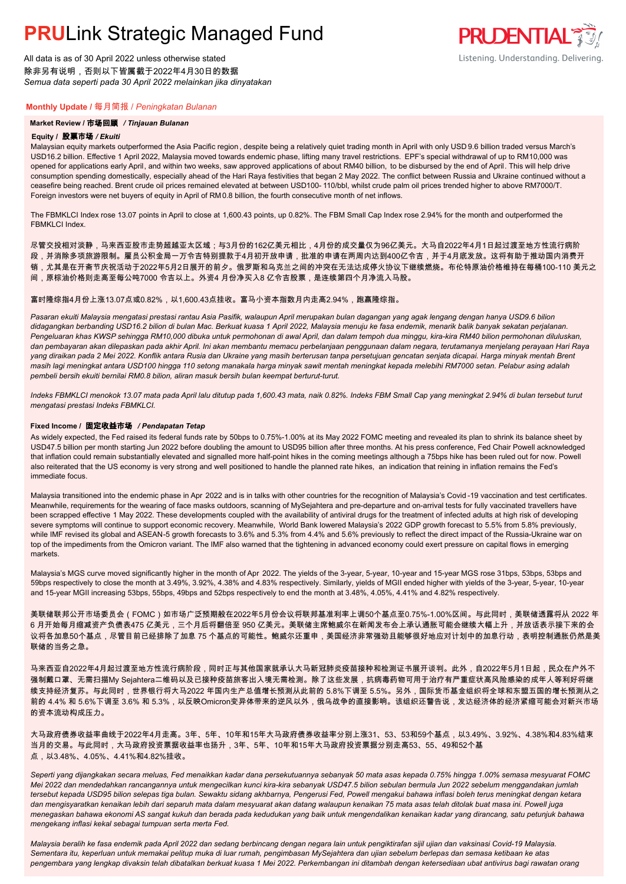All data is as of 30 April 2022 unless otherwise stated 除非另有说明,否则以下皆属截于2022年4月30日的数据 *Semua data seperti pada 30 April 2022 melainkan jika dinyatakan*

# Listening. Understanding. Delivering.

**PRUDENTIAL** 

#### **Monthly Update /** 每月简报 / *Peningkatan Bulanan*

#### **Market Review /** 市场回顾 */ Tinjauan Bulanan*

#### **Equity /** 股票市场 */ Ekuiti.*

Malaysian equity markets outperformed the Asia Pacific region , despite being a relatively quiet trading month in April with only USD 9.6 billion traded versus March's USD16.2 billion. Effective 1 April 2022, Malaysia moved towards endemic phase, lifting many travel restrictions. EPF's special withdrawal of up to RM10,000 was opened for applications early April, and within two weeks, saw approved applications of about RM40 billion, to be disbursed by the end of April. This will help drive consumption spending domestically, especially ahead of the Hari Raya festivities that began 2 May 2022. The conflict between Russia and Ukraine continued without a ceasefire being reached. Brent crude oil prices remained elevated at between USD100- 110/bbl, whilst crude palm oil prices trended higher to above RM7000/T. Foreign investors were net buyers of equity in April of RM0.8 billion, the fourth consecutive month of net inflows.

The FBMKLCI Index rose 13.07 points in April to close at 1,600.43 points, up 0.82%. The FBM Small Cap Index rose 2.94% for the month and outperformed the FBMKI CI Index

尽管交投相对淡静,马来西亚股市走势超越亚太区域;与3月份的162亿美元相比,4月份的成交量仅为96亿美元。大马自2022年4月1日起过渡至地方性流行病阶

段,并消除多项旅游限制。雇员公积金局一万令吉特别提款于4月初开放申请,批准的申请在两周内达到400亿令吉,并于4月底发放。这将有助于推动国内消费开

销,尤其是在开斋节庆祝活动于2022年5月2日展开的前夕。俄罗斯和乌克兰之间的冲突在无法达成停火协议下继续燃烧。布伦特原油价格维持在每桶100-110 美元之

间,原棕油价格则走高至每公吨7000 令吉以上。外资4 月份净买入8 亿令吉股票,是连续第四个月净流入马股。

#### 富时隆综指4月份上涨13.07点或0.82%,以1,600.43点挂收。富马小资本指数月内走高2.94%,跑赢隆综指。

*Pasaran ekuiti Malaysia mengatasi prestasi rantau Asia Pasifik, walaupun April merupakan bulan dagangan yang agak lengang dengan hanya USD9.6 bilion didagangkan berbanding USD16.2 bilion di bulan Mac. Berkuat kuasa 1 April 2022, Malaysia menuju ke fasa endemik, menarik balik banyak sekatan perjalanan. Pengeluaran khas KWSP sehingga RM10,000 dibuka untuk permohonan di awal April, dan dalam tempoh dua minggu, kira-kira RM40 bilion permohonan diluluskan, dan pembayaran akan dilepaskan pada akhir April. Ini akan membantu memacu perbelanjaan penggunaan dalam negara, terutamanya menjelang perayaan Hari Raya yang diraikan pada 2 Mei 2022. Konflik antara Rusia dan Ukraine yang masih berterusan tanpa persetujuan gencatan senjata dicapai. Harga minyak mentah Brent masih lagi meningkat antara USD100 hingga 110 setong manakala harga minyak sawit mentah meningkat kepada melebihi RM7000 setan. Pelabur asing adalah pembeli bersih ekuiti bernilai RM0.8 bilion, aliran masuk bersih bulan keempat berturut-turut.*

*Indeks FBMKLCI menokok 13.07 mata pada April lalu ditutup pada 1,600.43 mata, naik 0.82%. Indeks FBM Small Cap yang meningkat 2.94% di bulan tersebut turut mengatasi prestasi Indeks FBMKLCI.*

#### **Fixed Income /** 固定收益市场 */ Pendapatan Tetap*

*.* As widely expected, the Fed raised its federal funds rate by 50bps to 0.75%-1.00% at its May 2022 FOMC meeting and revealed its plan to shrink its balance sheet by USD47.5 billion per month starting Jun 2022 before doubling the amount to USD95 billion after three months. At his press conference, Fed Chair Powell acknowledged that inflation could remain substantially elevated and signalled more half-point hikes in the coming meetings although a 75bps hike has been ruled out for now. Powell also reiterated that the US economy is very strong and well positioned to handle the planned rate hikes, an indication that reining in inflation remains the Fed's immediate focus.

Malaysia transitioned into the endemic phase in Apr 2022 and is in talks with other countries for the recognition of Malaysia's Covid-19 vaccination and test certificates. Meanwhile, requirements for the wearing of face masks outdoors, scanning of MySejahtera and pre-departure and on-arrival tests for fully vaccinated travellers have been scrapped effective 1 May 2022. These developments coupled with the availability of antiviral drugs for the treatment of infected adults at high risk of developing severe symptoms will continue to support economic recovery. Meanwhile, World Bank lowered Malaysia's 2022 GDP growth forecast to 5.5% from 5.8% previously, while IMF revised its global and ASEAN-5 growth forecasts to 3.6% and 5.3% from 4.4% and 5.6% previously to reflect the direct impact of the Russia-Ukraine war on top of the impediments from the Omicron variant. The IMF also warned that the tightening in advanced economy could exert pressure on capital flows in emerging markets.

Malaysia's MGS curve moved significantly higher in the month of Apr 2022. The yields of the 3-year, 5-year, 10-year and 15-year MGS rose 31bps, 53bps, 53bps and 59bps respectively to close the month at 3.49%, 3.92%, 4.38% and 4.83% respectively. Similarly, yields of MGII ended higher with yields of the 3-year, 5-year, 10-year and 15-year MGII increasing 53bps, 55bps, 49bps and 52bps respectively to end the month at 3.48%, 4.05%, 4.41% and 4.82% respectively.

美联储联邦公开市场委员会(FOMC)如市场广泛预期般在2022年5月份会议将联邦基准利率上调50个基点至0.75%-1.00%区间。与此同时,美联储透露将从 2022 年 6 月开始每月缩减资产负债表475 亿美元,三个月后将翻倍至 950 亿美元。美联储主席鲍威尔在新闻发布会上承认通胀可能会继续大幅上升,并放话表示接下来的会 议将各加息50个基点,尽管目前已经排除了加息 75 个基点的可能性。鲍威尔还重申,美国经济非常强劲且能够很好地应对计划中的加息行动,表明控制通胀仍然是美 联储的当务之急。

马来西亚自2022年4月起过渡至地方性流行病阶段,同时正与其他国家就承认大马新冠肺炎疫苗接种和检测证书展开谈判。此外,自2022年5月1日起,民众在户外不 强制戴口罩、无需扫描My Sejahtera二维码以及已接种疫苗旅客出入境无需检测。除了这些发展,抗病毒药物可用于治疗有严重症状高风险感染的成年人等利好将继 续支持经济复苏。与此同时,世界银行将大马2022 年国内生产总值增长预测从此前的 5.8%下调至 5.5%。另外,国际货币基金组织将全球和东盟五国的增长预测从之 前的 4.4% 和 5.6%下调至 3.6% 和 5.3%,以反映Omicron变异体带来的逆风以外,俄乌战争的直接影响。该组织还警告说,发达经济体的经济紧缩可能会对新兴市场 的资本流动构成压力。

大马政府债券收益率曲线于2022年4月走高。3年、5年、10年和15年大马政府债券收益率分别上涨31、53、53和59个基点,以3.49%、3.92%、4.38%和4.83%结束 当月的交易。与此同时,大马政府投资票据收益率也扬升,3年、5年、10年和15年大马政府投资票据分别走高53、55、49和52个基 点,以3.48%、4.05%、4.41%和4.82%挂收。

*Seperti yang dijangkakan secara meluas, Fed menaikkan kadar dana persekutuannya sebanyak 50 mata asas kepada 0.75% hingga 1.00% semasa mesyuarat FOMC Mei 2022 dan mendedahkan rancangannya untuk mengecilkan kunci kira-kira sebanyak USD47.5 bilion sebulan bermula Jun 2022 sebelum menggandakan jumlah tersebut kepada USD95 bilion selepas tiga bulan. Sewaktu sidang akhbarnya, Pengerusi Fed, Powell mengakui bahawa inflasi boleh terus meningkat dengan ketara dan mengisyaratkan kenaikan lebih dari separuh mata dalam mesyuarat akan datang walaupun kenaikan 75 mata asas telah ditolak buat masa ini. Powell juga menegaskan bahawa ekonomi AS sangat kukuh dan berada pada kedudukan yang baik untuk mengendalikan kenaikan kadar yang dirancang, satu petunjuk bahawa mengekang inflasi kekal sebagai tumpuan serta merta Fed.*

*Malaysia beralih ke fasa endemik pada April 2022 dan sedang berbincang dengan negara lain untuk pengiktirafan sijil ujian dan vaksinasi Covid-19 Malaysia. Sementara itu, keperluan untuk memakai pelitup muka di luar rumah, pengimbasan MySejahtera dan ujian sebelum berlepas dan semasa ketibaan ke atas pengembara yang lengkap divaksin telah dibatalkan berkuat kuasa 1 Mei 2022. Perkembangan ini ditambah dengan ketersediaan ubat antivirus bagi rawatan orang*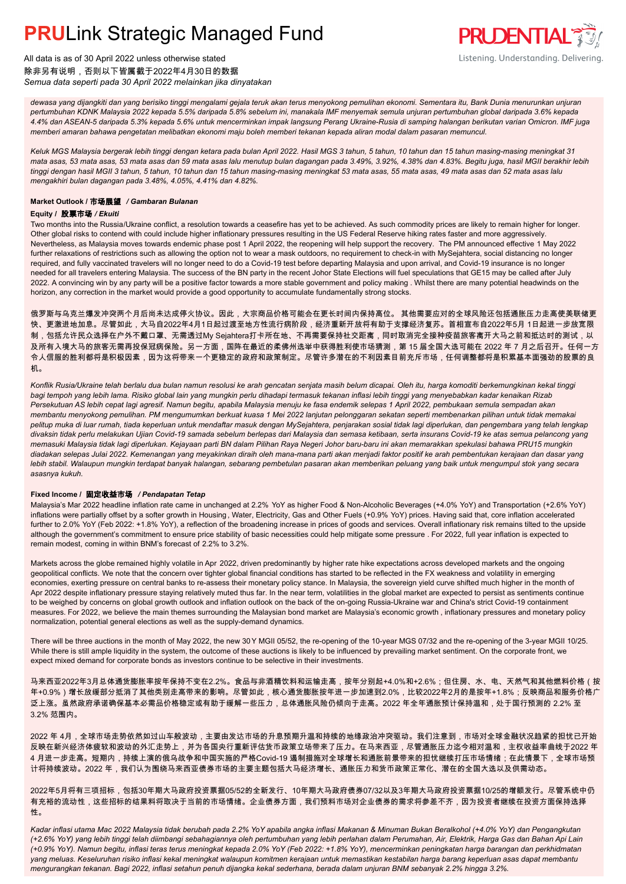

All data is as of 30 April 2022 unless otherwise stated 除非另有说明,否则以下皆属截于2022年4月30日的数据 *Semua data seperti pada 30 April 2022 melainkan jika dinyatakan*

*dewasa yang dijangkiti dan yang berisiko tinggi mengalami gejala teruk akan terus menyokong pemulihan ekonomi. Sementara itu, Bank Dunia menurunkan unjuran pertumbuhan KDNK Malaysia 2022 kepada 5.5% daripada 5.8% sebelum ini, manakala IMF menyemak semula unjuran pertumbuhan global daripada 3.6% kepada 4.4% dan ASEAN-5 daripada 5.3% kepada 5.6% untuk mencerminkan impak langsung Perang Ukraine-Rusia di samping halangan berikutan varian Omicron. IMF juga memberi amaran bahawa pengetatan melibatkan ekonomi maju boleh memberi tekanan kepada aliran modal dalam pasaran memuncul.*

*Keluk MGS Malaysia bergerak lebih tinggi dengan ketara pada bulan April 2022. Hasil MGS 3 tahun, 5 tahun, 10 tahun dan 15 tahun masing-masing meningkat 31 mata asas, 53 mata asas, 53 mata asas dan 59 mata asas lalu menutup bulan dagangan pada 3.49%, 3.92%, 4.38% dan 4.83%. Begitu juga, hasil MGII berakhir lebih tinggi dengan hasil MGII 3 tahun, 5 tahun, 10 tahun dan 15 tahun masing-masing meningkat 53 mata asas, 55 mata asas, 49 mata asas dan 52 mata asas lalu mengakhiri bulan dagangan pada 3.48%, 4.05%, 4.41% dan 4.82%.*

#### **Market Outlook /** 市场展望 */ Gambaran Bulanan*

#### **Equity /** 股票市场 */ Ekuiti .*

Two months into the Russia/Ukraine conflict, a resolution towards a ceasefire has yet to be achieved. As such commodity prices are likely to remain higher for longer. Other global risks to contend with could include higher inflationary pressures resulting in the US Federal Reserve hiking rates faster and more aggressively. Nevertheless, as Malaysia moves towards endemic phase post 1 April 2022, the reopening will help support the recovery. The PM announced effective 1 May 2022 further relaxations of restrictions such as allowing the option not to wear a mask outdoors, no requirement to check-in with MySejahtera, social distancing no longer required, and fully vaccinated travelers will no longer need to do a Covid-19 test before departing Malaysia and upon arrival, and Covid-19 insurance is no longer needed for all travelers entering Malaysia. The success of the BN party in the recent Johor State Elections will fuel speculations that GE15 may be called after July 2022. A convincing win by any party will be a positive factor towards a more stable government and policy making . Whilst there are many potential headwinds on the horizon, any correction in the market would provide a good opportunity to accumulate fundamentally strong stocks.

俄罗斯与乌克兰爆发冲突两个月后尚未达成停火协议。因此,大宗商品价格可能会在更长时间内保持高位。 其他需要应对的全球风险还包括通胀压力走高使美联储更 快、更激进地加息。尽管如此,大马自2022年4月1日起过渡至地方性流行病阶段,经济重新开放将有助于支撑经济复苏。首相宣布自2022年5月 1日起进一步放宽限 制,包括允许民众选择在户外不戴口罩、无需透过My Sejahtera打卡所在地、不再需要保持社交距离,同时取消完全接种疫苗旅客离开大马之前和抵达时的测试,以 及所有入境大马的旅客无需再投保冠病保险。另一方面,国阵在最近的柔佛州选举中获得胜利使市场猜测,第 15 届全国大选可能在 2022 年 7 月之后召开。任何一方 令人信服的胜利都将是积极因素,因为这将带来一个更稳定的政府和政策制定。尽管许多潜在的不利因素目前充斥市场,任何调整都将是积累基本面强劲的股票的良 机。

*Konflik Rusia/Ukraine telah berlalu dua bulan namun resolusi ke arah gencatan senjata masih belum dicapai. Oleh itu, harga komoditi berkemungkinan kekal tinggi bagi tempoh yang lebih lama. Risiko global lain yang mungkin perlu dihadapi termasuk tekanan inflasi lebih tinggi yang menyebabkan kadar kenaikan Rizab Persekutuan AS lebih cepat lagi agresif. Namun begitu, apabila Malaysia menuju ke fasa endemik selepas 1 April 2022, pembukaan semula sempadan akan membantu menyokong pemulihan. PM mengumumkan berkuat kuasa 1 Mei 2022 lanjutan pelonggaran sekatan seperti membenarkan pilihan untuk tidak memakai pelitup muka di luar rumah, tiada keperluan untuk mendaftar masuk dengan MySejahtera, penjarakan sosial tidak lagi diperlukan, dan pengembara yang telah lengkap divaksin tidak perlu melakukan Ujian Covid-19 samada sebelum berlepas dari Malaysia dan semasa ketibaan, serta insurans Covid-19 ke atas semua pelancong yang memasuki Malaysia tidak lagi diperlukan. Kejayaan parti BN dalam Pilihan Raya Negeri Johor baru-baru ini akan memarakkan spekulasi bahawa PRU15 mungkin diadakan selepas Julai 2022. Kemenangan yang meyakinkan diraih oleh mana-mana parti akan menjadi faktor positif ke arah pembentukan kerajaan dan dasar yang lebih stabil. Walaupun mungkin terdapat banyak halangan, sebarang pembetulan pasaran akan memberikan peluang yang baik untuk mengumpul stok yang secara asasnya kukuh.*

#### **Fixed Income /** 固定收益市场 */ Pendapatan Tetap*

*.* Malaysia's Mar 2022 headline inflation rate came in unchanged at 2.2% YoY as higher Food & Non-Alcoholic Beverages (+4.0% YoY) and Transportation (+2.6% YoY) inflations were partially offset by a softer growth in Housing, Water, Electricity, Gas and Other Fuels (+0.9% YoY) prices. Having said that, core inflation accelerated further to 2.0% YoY (Feb 2022: +1.8% YoY), a reflection of the broadening increase in prices of goods and services. Overall inflationary risk remains tilted to the upside although the government's commitment to ensure price stability of basic necessities could help mitigate some pressure . For 2022, full year inflation is expected to remain modest, coming in within BNM's forecast of 2.2% to 3.2%.

Markets across the globe remained highly volatile in Apr 2022, driven predominantly by higher rate hike expectations across developed markets and the ongoing geopolitical conflicts. We note that the concern over tighter global financial conditions has started to be reflected in the FX weakness and volatility in emerging economies, exerting pressure on central banks to re-assess their monetary policy stance. In Malaysia, the sovereign yield curve shifted much higher in the month of Apr 2022 despite inflationary pressure staying relatively muted thus far. In the near term, volatilities in the global market are expected to persist as sentiments continue to be weighed by concerns on global growth outlook and inflation outlook on the back of the on-going Russia-Ukraine war and China's strict Covid-19 containment measures. For 2022, we believe the main themes surrounding the Malaysian bond market are Malaysia's economic growth , inflationary pressures and monetary policy normalization, potential general elections as well as the supply-demand dynamics.

There will be three auctions in the month of May 2022, the new 30 Y MGII 05/52, the re-opening of the 10-year MGS 07/32 and the re-opening of the 3-year MGII 10/25. While there is still ample liquidity in the system, the outcome of these auctions is likely to be influenced by prevailing market sentiment. On the corporate front, we expect mixed demand for corporate bonds as investors continue to be selective in their investments.

马来西亚2022年3月总体通货膨胀率按年保持不变在2.2%。食品与非酒精饮料和运输走高,按年分别起+4.0%和+2.6%;但住房、水、电、天然气和其他燃料价格(按 年+0.9%)增长放缓部分抵消了其他类别走高带来的影响。尽管如此,核心通货膨胀按年进一步加速到2.0%,比较2022年2月的是按年+1.8%;反映商品和服务价格广 泛上涨。虽然政府承诺确保基本必需品价格稳定或有助于缓解一些压力,总体通胀风险仍倾向于走高。2022 年全年通胀预计保持温和,处于国行预测的 2.2% 至 3.2% 范围内。

2022 年 4月,全球市场走势依然如过山车般波动,主要由发达市场的升息预期升温和持续的地缘政治冲突驱动。我们注意到,市场对全球金融状况趋紧的担忧已开始 反映在新兴经济体疲软和波动的外汇走势上,并为各国央行重新评估货币政策立场带来了压力。在马来西亚,尽管通胀压力迄今相对温和,主权收益率曲线于2022 年 4 月进一步走高。短期内,持续上演的俄乌战争和中国实施的严格Covid-19 遏制措施对全球增长和通胀前景带来的担忧继续打压市场情绪;在此情景下,全球市场预 计将持续波动。2022 年,我们认为围绕马来西亚债券市场的主要主题包括大马经济增长、通胀压力和货币政策正常化、潜在的全国大选以及供需动态。

2022年5月将有三项招标,包括30年期大马政府投资票据05/52的全新发行、10年期大马政府债券07/32以及3年期大马政府投资票据10/25的增额发行。尽管系统中仍 有充裕的流动性,这些招标的结果料将取决于当前的市场情绪。企业债券方面,我们预料市场对企业债券的需求将参差不齐,因为投资者继续在投资方面保持选择 性。

*Kadar inflasi utama Mac 2022 Malaysia tidak berubah pada 2.2% YoY apabila angka inflasi Makanan & Minuman Bukan Beralkohol (+4.0% YoY) dan Pengangkutan (+2.6% YoY) yang lebih tinggi telah diimbangi sebahagiannya oleh pertumbuhan yang lebih perlahan dalam Perumahan, Air, Elektrik, Harga Gas dan Bahan Api Lain (+0.9% YoY). Namun begitu, inflasi teras terus meningkat kepada 2.0% YoY (Feb 2022: +1.8% YoY), mencerminkan peningkatan harga barangan dan perkhidmatan yang meluas. Keseluruhan risiko inflasi kekal meningkat walaupun komitmen kerajaan untuk memastikan kestabilan harga barang keperluan asas dapat membantu mengurangkan tekanan. Bagi 2022, inflasi setahun penuh dijangka kekal sederhana, berada dalam unjuran BNM sebanyak 2.2% hingga 3.2%.*